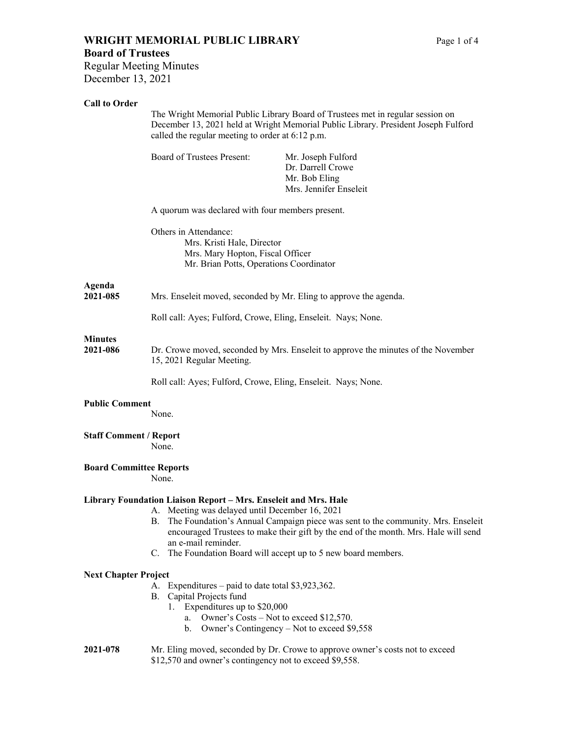# **WRIGHT MEMORIAL PUBLIC LIBRARY** Page 1 of 4 **Board of Trustees**

Regular Meeting Minutes December 13, 2021

## **Call to Order**

|                                | The Wright Memorial Public Library Board of Trustees met in regular session on<br>December 13, 2021 held at Wright Memorial Public Library. President Joseph Fulford<br>called the regular meeting to order at 6:12 p.m. |                                                                                                                                                                        |
|--------------------------------|--------------------------------------------------------------------------------------------------------------------------------------------------------------------------------------------------------------------------|------------------------------------------------------------------------------------------------------------------------------------------------------------------------|
|                                | <b>Board of Trustees Present:</b>                                                                                                                                                                                        | Mr. Joseph Fulford<br>Dr. Darrell Crowe<br>Mr. Bob Eling<br>Mrs. Jennifer Enseleit                                                                                     |
|                                | A quorum was declared with four members present.                                                                                                                                                                         |                                                                                                                                                                        |
|                                | Others in Attendance:<br>Mrs. Kristi Hale, Director<br>Mrs. Mary Hopton, Fiscal Officer<br>Mr. Brian Potts, Operations Coordinator                                                                                       |                                                                                                                                                                        |
| Agenda<br>2021-085             | Mrs. Enseleit moved, seconded by Mr. Eling to approve the agenda.                                                                                                                                                        |                                                                                                                                                                        |
|                                | Roll call: Ayes; Fulford, Crowe, Eling, Enseleit. Nays; None.                                                                                                                                                            |                                                                                                                                                                        |
| <b>Minutes</b><br>2021-086     | Dr. Crowe moved, seconded by Mrs. Enseleit to approve the minutes of the November<br>15, 2021 Regular Meeting.                                                                                                           |                                                                                                                                                                        |
|                                | Roll call: Ayes; Fulford, Crowe, Eling, Enseleit. Nays; None.                                                                                                                                                            |                                                                                                                                                                        |
| <b>Public Comment</b>          | None.                                                                                                                                                                                                                    |                                                                                                                                                                        |
| <b>Staff Comment / Report</b>  | None.                                                                                                                                                                                                                    |                                                                                                                                                                        |
| <b>Board Committee Reports</b> | None.                                                                                                                                                                                                                    |                                                                                                                                                                        |
|                                | Library Foundation Liaison Report - Mrs. Enseleit and Mrs. Hale<br>A. Meeting was delayed until December 16, 2021<br>В.<br>an e-mail reminder.<br>C. The Foundation Board will accept up to 5 new board members.         | The Foundation's Annual Campaign piece was sent to the community. Mrs. Enseleit<br>encouraged Trustees to make their gift by the end of the month. Mrs. Hale will send |
| <b>Next Chapter Project</b>    |                                                                                                                                                                                                                          |                                                                                                                                                                        |
|                                | A. Expenditures – paid to date total \$3,923,362.<br>B. Capital Projects fund<br>Expenditures up to \$20,000<br>1.<br>Owner's Costs – Not to exceed \$12,570.<br>a.<br>b.                                                | Owner's Contingency - Not to exceed \$9,558                                                                                                                            |
| 2021-078                       | Mr. Eling moved, seconded by Dr. Crowe to approve owner's costs not to exceed<br>\$12,570 and owner's contingency not to exceed \$9,558.                                                                                 |                                                                                                                                                                        |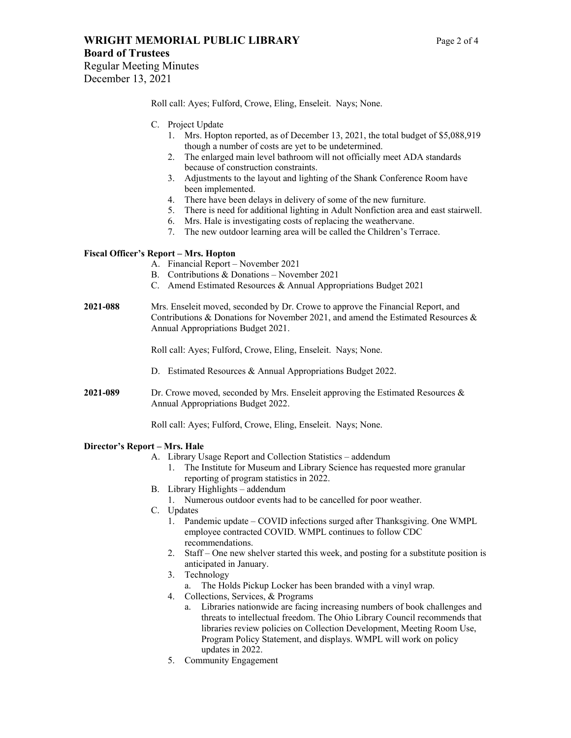# **WRIGHT MEMORIAL PUBLIC LIBRARY** Page 2 of 4

**Board of Trustees** 

Regular Meeting Minutes December 13, 2021

Roll call: Ayes; Fulford, Crowe, Eling, Enseleit. Nays; None.

- C. Project Update
	- 1. Mrs. Hopton reported, as of December 13, 2021, the total budget of \$5,088,919 though a number of costs are yet to be undetermined.
	- 2. The enlarged main level bathroom will not officially meet ADA standards because of construction constraints.
	- 3. Adjustments to the layout and lighting of the Shank Conference Room have been implemented.
	- 4. There have been delays in delivery of some of the new furniture.
	- 5. There is need for additional lighting in Adult Nonfiction area and east stairwell.
	- 6. Mrs. Hale is investigating costs of replacing the weathervane.
	- 7. The new outdoor learning area will be called the Children's Terrace.

### **Fiscal Officer's Report – Mrs. Hopton**

- A. Financial Report November 2021
- B. Contributions & Donations November 2021
- C. Amend Estimated Resources & Annual Appropriations Budget 2021
- **2021-088** Mrs. Enseleit moved, seconded by Dr. Crowe to approve the Financial Report, and Contributions & Donations for November 2021, and amend the Estimated Resources & Annual Appropriations Budget 2021.

Roll call: Ayes; Fulford, Crowe, Eling, Enseleit. Nays; None.

- D. Estimated Resources & Annual Appropriations Budget 2022.
- **2021-089** Dr. Crowe moved, seconded by Mrs. Enseleit approving the Estimated Resources & Annual Appropriations Budget 2022.

Roll call: Ayes; Fulford, Crowe, Eling, Enseleit. Nays; None.

#### **Director's Report – Mrs. Hale**

- A. Library Usage Report and Collection Statistics addendum
	- 1. The Institute for Museum and Library Science has requested more granular reporting of program statistics in 2022.
- B. Library Highlights addendum
	- 1. Numerous outdoor events had to be cancelled for poor weather.
- C. Updates
	- 1. Pandemic update COVID infections surged after Thanksgiving. One WMPL employee contracted COVID. WMPL continues to follow CDC recommendations.
	- 2. Staff One new shelver started this week, and posting for a substitute position is anticipated in January.
	- 3. Technology
		- a. The Holds Pickup Locker has been branded with a vinyl wrap.
	- 4. Collections, Services, & Programs
		- a. Libraries nationwide are facing increasing numbers of book challenges and threats to intellectual freedom. The Ohio Library Council recommends that libraries review policies on Collection Development, Meeting Room Use, Program Policy Statement, and displays. WMPL will work on policy updates in 2022.
	- 5. Community Engagement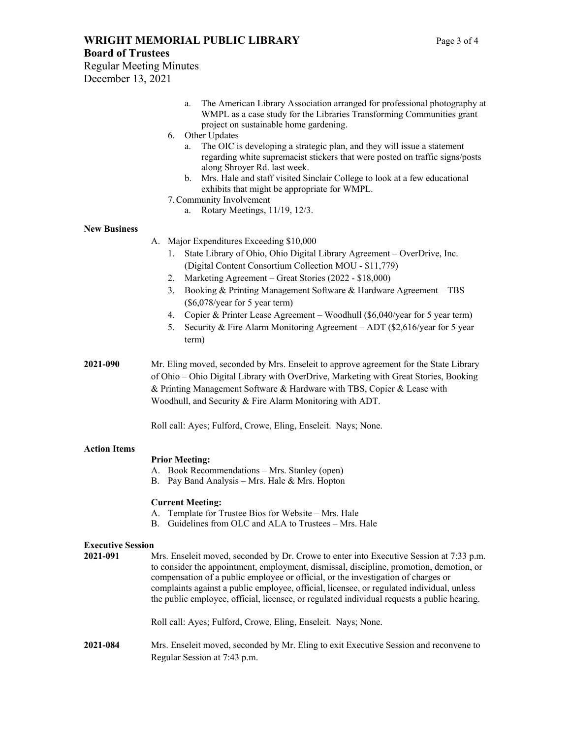## **WRIGHT MEMORIAL PUBLIC LIBRARY** Page 3 of 4

#### **Board of Trustees**

Regular Meeting Minutes December 13, 2021

- a. The American Library Association arranged for professional photography at WMPL as a case study for the Libraries Transforming Communities grant project on sustainable home gardening.
- 6. Other Updates
	- a. The OIC is developing a strategic plan, and they will issue a statement regarding white supremacist stickers that were posted on traffic signs/posts along Shroyer Rd. last week.
	- b. Mrs. Hale and staff visited Sinclair College to look at a few educational exhibits that might be appropriate for WMPL.
- 7.Community Involvement
	- a. Rotary Meetings, 11/19, 12/3.

#### **New Business**

- A. Major Expenditures Exceeding \$10,000
	- 1. State Library of Ohio, Ohio Digital Library Agreement OverDrive, Inc. (Digital Content Consortium Collection MOU - \$11,779)
	- 2. Marketing Agreement Great Stories (2022 \$18,000)
	- 3. Booking & Printing Management Software & Hardware Agreement TBS (\$6,078/year for 5 year term)
	- 4. Copier & Printer Lease Agreement Woodhull (\$6,040/year for 5 year term)
	- 5. Security & Fire Alarm Monitoring Agreement ADT (\$2,616/year for 5 year term)
- **2021-090** Mr. Eling moved, seconded by Mrs. Enseleit to approve agreement for the State Library of Ohio – Ohio Digital Library with OverDrive, Marketing with Great Stories, Booking & Printing Management Software & Hardware with TBS, Copier & Lease with Woodhull, and Security & Fire Alarm Monitoring with ADT.

Roll call: Ayes; Fulford, Crowe, Eling, Enseleit. Nays; None.

#### **Action Items**

#### **Prior Meeting:**

- A. Book Recommendations Mrs. Stanley (open)
- B. Pay Band Analysis Mrs. Hale & Mrs. Hopton

#### **Current Meeting:**

- A. Template for Trustee Bios for Website Mrs. Hale
- B. Guidelines from OLC and ALA to Trustees Mrs. Hale

#### **Executive Session**

- **2021-091** Mrs. Enseleit moved, seconded by Dr. Crowe to enter into Executive Session at 7:33 p.m. to consider the appointment, employment, dismissal, discipline, promotion, demotion, or compensation of a public employee or official, or the investigation of charges or complaints against a public employee, official, licensee, or regulated individual, unless the public employee, official, licensee, or regulated individual requests a public hearing. Roll call: Ayes; Fulford, Crowe, Eling, Enseleit. Nays; None.
- **2021-084** Mrs. Enseleit moved, seconded by Mr. Eling to exit Executive Session and reconvene to Regular Session at 7:43 p.m.